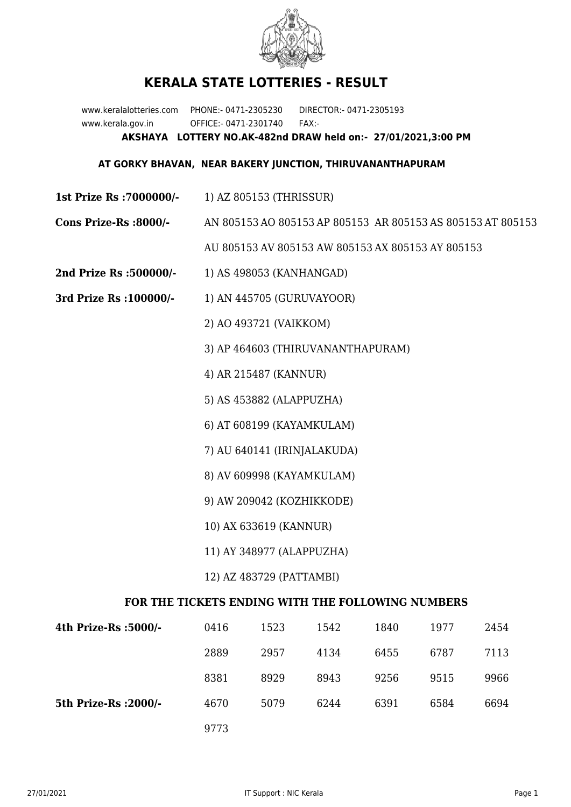

## **KERALA STATE LOTTERIES - RESULT**

www.keralalotteries.com PHONE:- 0471-2305230 DIRECTOR:- 0471-2305193 www.kerala.gov.in OFFICE:- 0471-2301740 FAX:- **AKSHAYA LOTTERY NO.AK-482nd DRAW held on:- 27/01/2021,3:00 PM**

## **AT GORKY BHAVAN, NEAR BAKERY JUNCTION, THIRUVANANTHAPURAM**

- **1st Prize Rs :7000000/-** 1) AZ 805153 (THRISSUR)
- **Cons Prize-Rs :8000/-** AN 805153 AO 805153 AP 805153 AR 805153 AS 805153 AT 805153

AU 805153 AV 805153 AW 805153 AX 805153 AY 805153

- **2nd Prize Rs :500000/-** 1) AS 498053 (KANHANGAD)
- **3rd Prize Rs :100000/-** 1) AN 445705 (GURUVAYOOR)

2) AO 493721 (VAIKKOM)

3) AP 464603 (THIRUVANANTHAPURAM)

4) AR 215487 (KANNUR)

5) AS 453882 (ALAPPUZHA)

6) AT 608199 (KAYAMKULAM)

7) AU 640141 (IRINJALAKUDA)

- 8) AV 609998 (KAYAMKULAM)
- 9) AW 209042 (KOZHIKKODE)
- 10) AX 633619 (KANNUR)
- 11) AY 348977 (ALAPPUZHA)
- 12) AZ 483729 (PATTAMBI)

## **FOR THE TICKETS ENDING WITH THE FOLLOWING NUMBERS**

| 4th Prize-Rs :5000/-  | 0416 | 1523 | 1542 | 1840 | 1977 | 2454 |
|-----------------------|------|------|------|------|------|------|
|                       | 2889 | 2957 | 4134 | 6455 | 6787 | 7113 |
|                       | 8381 | 8929 | 8943 | 9256 | 9515 | 9966 |
| 5th Prize-Rs : 2000/- | 4670 | 5079 | 6244 | 6391 | 6584 | 6694 |
|                       | 9773 |      |      |      |      |      |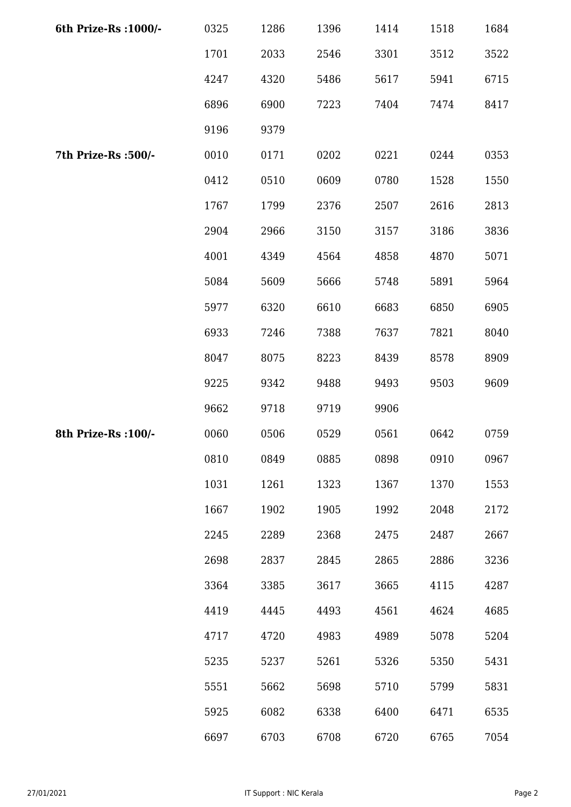| 6th Prize-Rs : 1000/- | 0325 | 1286 | 1396 | 1414 | 1518 | 1684 |
|-----------------------|------|------|------|------|------|------|
|                       | 1701 | 2033 | 2546 | 3301 | 3512 | 3522 |
|                       | 4247 | 4320 | 5486 | 5617 | 5941 | 6715 |
|                       | 6896 | 6900 | 7223 | 7404 | 7474 | 8417 |
|                       | 9196 | 9379 |      |      |      |      |
| 7th Prize-Rs :500/-   | 0010 | 0171 | 0202 | 0221 | 0244 | 0353 |
|                       | 0412 | 0510 | 0609 | 0780 | 1528 | 1550 |
|                       | 1767 | 1799 | 2376 | 2507 | 2616 | 2813 |
|                       | 2904 | 2966 | 3150 | 3157 | 3186 | 3836 |
|                       | 4001 | 4349 | 4564 | 4858 | 4870 | 5071 |
|                       | 5084 | 5609 | 5666 | 5748 | 5891 | 5964 |
|                       | 5977 | 6320 | 6610 | 6683 | 6850 | 6905 |
|                       | 6933 | 7246 | 7388 | 7637 | 7821 | 8040 |
|                       | 8047 | 8075 | 8223 | 8439 | 8578 | 8909 |
|                       | 9225 | 9342 | 9488 | 9493 | 9503 | 9609 |
|                       | 9662 | 9718 | 9719 | 9906 |      |      |
| 8th Prize-Rs : 100/-  | 0060 | 0506 | 0529 | 0561 | 0642 | 0759 |
|                       | 0810 | 0849 | 0885 | 0898 | 0910 | 0967 |
|                       | 1031 | 1261 | 1323 | 1367 | 1370 | 1553 |
|                       | 1667 | 1902 | 1905 | 1992 | 2048 | 2172 |
|                       | 2245 | 2289 | 2368 | 2475 | 2487 | 2667 |
|                       | 2698 | 2837 | 2845 | 2865 | 2886 | 3236 |
|                       | 3364 | 3385 | 3617 | 3665 | 4115 | 4287 |
|                       | 4419 | 4445 | 4493 | 4561 | 4624 | 4685 |
|                       | 4717 | 4720 | 4983 | 4989 | 5078 | 5204 |
|                       | 5235 | 5237 | 5261 | 5326 | 5350 | 5431 |
|                       | 5551 | 5662 | 5698 | 5710 | 5799 | 5831 |
|                       | 5925 | 6082 | 6338 | 6400 | 6471 | 6535 |
|                       | 6697 | 6703 | 6708 | 6720 | 6765 | 7054 |